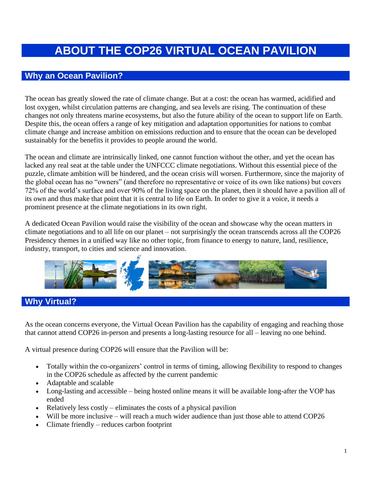## **ABOUT THE COP26 VIRTUAL OCEAN PAVILION**

## **Why an Ocean Pavilion?**

The ocean has greatly slowed the rate of climate change. But at a cost: the ocean has warmed, acidified and lost oxygen, whilst circulation patterns are changing, and sea levels are rising. The continuation of these changes not only threatens marine ecosystems, but also the future ability of the ocean to support life on Earth. Despite this, the ocean offers a range of key mitigation and adaptation opportunities for nations to combat climate change and increase ambition on emissions reduction and to ensure that the ocean can be developed sustainably for the benefits it provides to people around the world.

The ocean and climate are intrinsically linked, one cannot function without the other, and yet the ocean has lacked any real seat at the table under the UNFCCC climate negotiations. Without this essential piece of the puzzle, climate ambition will be hindered, and the ocean crisis will worsen. Furthermore, since the majority of the global ocean has no "owners" (and therefore no representative or voice of its own like nations) but covers 72% of the world's surface and over 90% of the living space on the planet, then it should have a pavilion all of its own and thus make that point that it is central to life on Earth. In order to give it a voice, it needs a prominent presence at the climate negotiations in its own right.

A dedicated Ocean Pavilion would raise the visibility of the ocean and showcase why the ocean matters in climate negotiations and to all life on our planet – not surprisingly the ocean transcends across all the COP26 Presidency themes in a unified way like no other topic, from finance to energy to nature, land, resilience, industry, transport, to cities and science and innovation.



## **Why Virtual?**

As the ocean concerns everyone, the Virtual Ocean Pavilion has the capability of engaging and reaching those that cannot attend COP26 in-person and presents a long-lasting resource for all – leaving no one behind.

A virtual presence during COP26 will ensure that the Pavilion will be:

- Totally within the co-organizers' control in terms of timing, allowing flexibility to respond to changes in the COP26 schedule as affected by the current pandemic
- Adaptable and scalable
- Long-lasting and accessible being hosted online means it will be available long-after the VOP has ended
- Relatively less costly eliminates the costs of a physical pavilion
- Will be more inclusive will reach a much wider audience than just those able to attend COP26
- Climate friendly reduces carbon footprint